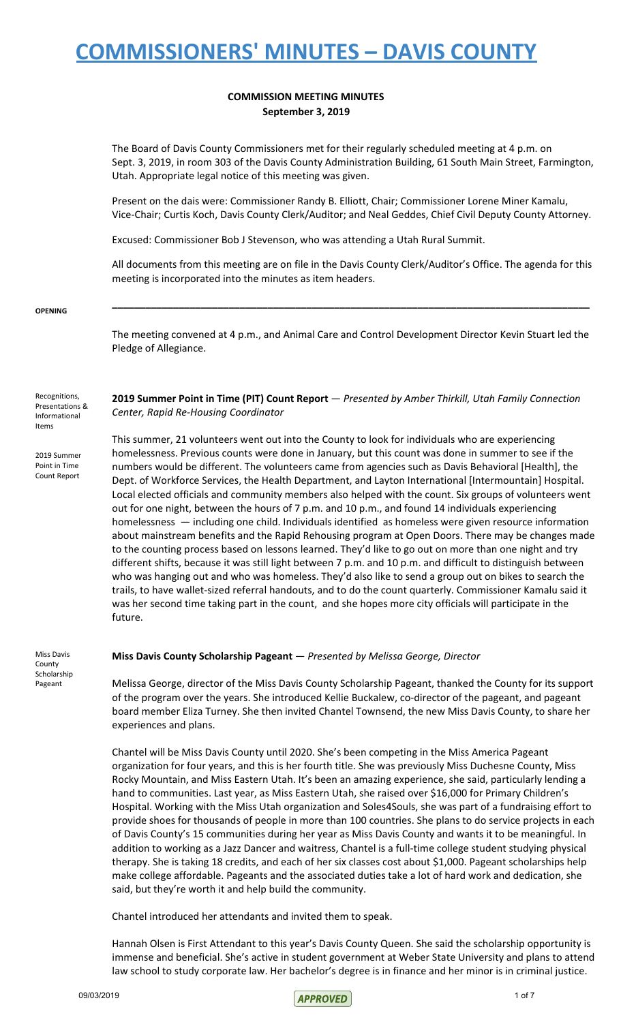### **COMMISSION MEETING MINUTES September 3, 2019**

The Board of Davis County Commissioners met for their regularly scheduled meeting at 4 p.m. on Sept. 3, 2019, in room 303 of the Davis County Administration Building, 61 South Main Street, Farmington, Utah. Appropriate legal notice of this meeting was given.

Present on the dais were: Commissioner Randy B. Elliott, Chair; Commissioner Lorene Miner Kamalu, Vice-Chair; Curtis Koch, Davis County Clerk/Auditor; and Neal Geddes, Chief Civil Deputy County Attorney.

Excused: Commissioner Bob J Stevenson, who was attending a Utah Rural Summit.

All documents from this meeting are on file in the Davis County Clerk/Auditor's Office. The agenda for this meeting is incorporated into the minutes as item headers.

**\_\_\_\_\_\_\_\_\_\_\_\_\_\_\_\_\_\_\_\_\_\_\_\_\_\_\_\_\_\_\_\_\_\_\_\_\_\_\_\_\_\_\_\_\_\_\_\_\_\_\_\_\_\_\_\_\_\_\_\_\_\_\_\_\_\_\_\_\_\_\_\_\_\_\_\_\_\_\_\_\_\_\_\_\_\_**

#### **OPENING**

The meeting convened at 4 p.m., and Animal Care and Control Development Director Kevin Stuart led the Pledge of Allegiance.

**2019 Summer Point in Time (PIT) Count Report** — *Presented by Amber Thirkill, Utah Family Connection Center, Rapid Re-Housing Coordinator*

2019 Summer Point in Time Count Report

Recognitions, Presentations & Informational Items

> This summer, 21 volunteers went out into the County to look for individuals who are experiencing homelessness. Previous counts were done in January, but this count was done in summer to see if the numbers would be different. The volunteers came from agencies such as Davis Behavioral [Health], the Dept. of Workforce Services, the Health Department, and Layton International [Intermountain] Hospital. Local elected officials and community members also helped with the count. Six groups of volunteers went out for one night, between the hours of 7 p.m. and 10 p.m., and found 14 individuals experiencing homelessness — including one child. Individuals identified as homeless were given resource information about mainstream benefits and the Rapid Rehousing program at Open Doors. There may be changes made to the counting process based on lessons learned. They'd like to go out on more than one night and try different shifts, because it was still light between 7 p.m. and 10 p.m. and difficult to distinguish between who was hanging out and who was homeless. They'd also like to send a group out on bikes to search the trails, to have wallet-sized referral handouts, and to do the count quarterly. Commissioner Kamalu said it was her second time taking part in the count, and she hopes more city officials will participate in the future.

Miss Davis County Scholarship Pageant

### **Miss Davis County Scholarship Pageant** — *Presented by Melissa George, Director*

Melissa George, director of the Miss Davis County Scholarship Pageant, thanked the County for its support of the program over the years. She introduced Kellie Buckalew, co-director of the pageant, and pageant board member Eliza Turney. She then invited Chantel Townsend, the new Miss Davis County, to share her experiences and plans.

Chantel will be Miss Davis County until 2020. She's been competing in the Miss America Pageant organization for four years, and this is her fourth title. She was previously Miss Duchesne County, Miss Rocky Mountain, and Miss Eastern Utah. It's been an amazing experience, she said, particularly lending a hand to communities. Last year, as Miss Eastern Utah, she raised over \$16,000 for Primary Children's Hospital. Working with the Miss Utah organization and Soles4Souls, she was part of a fundraising effort to provide shoes for thousands of people in more than 100 countries. She plans to do service projects in each of Davis County's 15 communities during her year as Miss Davis County and wants it to be meaningful. In addition to working as a Jazz Dancer and waitress, Chantel is a full-time college student studying physical therapy. She is taking 18 credits, and each of her six classes cost about \$1,000. Pageant scholarships help make college affordable. Pageants and the associated duties take a lot of hard work and dedication, she said, but they're worth it and help build the community.

Chantel introduced her attendants and invited them to speak.

Hannah Olsen is First Attendant to this year's Davis County Queen. She said the scholarship opportunity is immense and beneficial. She's active in student government at Weber State University and plans to attend law school to study corporate law. Her bachelor's degree is in finance and her minor is in criminal justice.

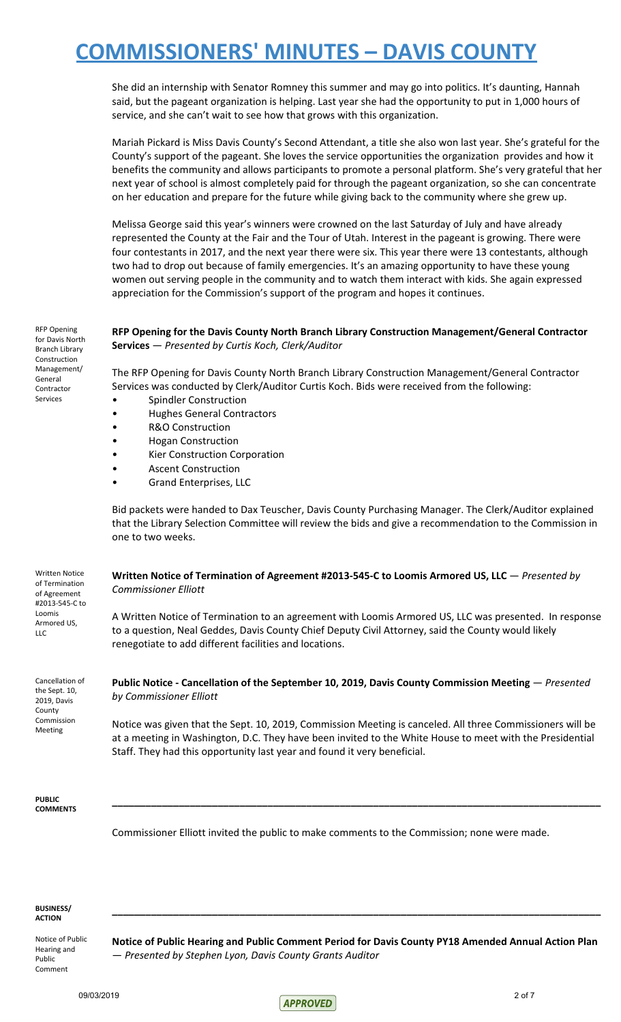She did an internship with Senator Romney this summer and may go into politics. It's daunting, Hannah said, but the pageant organization is helping. Last year she had the opportunity to put in 1,000 hours of service, and she can't wait to see how that grows with this organization.

Mariah Pickard is Miss Davis County's Second Attendant, a title she also won last year. She's grateful for the County's support of the pageant. She loves the service opportunities the organization provides and how it benefits the community and allows participants to promote a personal platform. She's very grateful that her next year of school is almost completely paid for through the pageant organization, so she can concentrate on her education and prepare for the future while giving back to the community where she grew up.

Melissa George said this year's winners were crowned on the last Saturday of July and have already represented the County at the Fair and the Tour of Utah. Interest in the pageant is growing. There were four contestants in 2017, and the next year there were six. This year there were 13 contestants, although two had to drop out because of family emergencies. It's an amazing opportunity to have these young women out serving people in the community and to watch them interact with kids. She again expressed appreciation for the Commission's support of the program and hopes it continues.

RFP Opening for Davis North Branch Library Construction Management/ General Contractor Services

Written Notice of Termination of Agreement #2013-545-C to Loomis Armored US, LLC

Cancellation of the Sept. 10, 2019, Davis County Commission Meeting

**RFP Opening for the Davis County North Branch Library Construction Management/General Contractor Services** — *Presented by Curtis Koch, Clerk/Auditor*

The RFP Opening for Davis County North Branch Library Construction Management/General Contractor Services was conducted by Clerk/Auditor Curtis Koch. Bids were received from the following:

- Spindler Construction
- Hughes General Contractors
- R&O Construction
- Hogan Construction
- **Kier Construction Corporation**
- Ascent Construction
- Grand Enterprises, LLC

Bid packets were handed to Dax Teuscher, Davis County Purchasing Manager. The Clerk/Auditor explained that the Library Selection Committee will review the bids and give a recommendation to the Commission in one to two weeks.

**Written Notice of Termination of Agreement #2013-545-C to Loomis Armored US, LLC** — *Presented by Commissioner Elliott*

A Written Notice of Termination to an agreement with Loomis Armored US, LLC was presented. In response to a question, Neal Geddes, Davis County Chief Deputy Civil Attorney, said the County would likely renegotiate to add different facilities and locations.

**Public Notice - Cancellation of the September 10, 2019, Davis County Commission Meeting** — *Presented by Commissioner Elliott*

Notice was given that the Sept. 10, 2019, Commission Meeting is canceled. All three Commissioners will be at a meeting in Washington, D.C. They have been invited to the White House to meet with the Presidential Staff. They had this opportunity last year and found it very beneficial.

**\_\_\_\_\_\_\_\_\_\_\_\_\_\_\_\_\_\_\_\_\_\_\_\_\_\_\_\_\_\_\_\_\_\_\_\_\_\_\_\_\_\_\_\_\_\_\_\_\_\_\_\_\_\_\_\_\_\_\_\_\_\_\_\_\_\_\_\_\_\_\_\_\_\_\_\_\_\_\_\_\_\_\_\_\_\_\_\_**

**PUBLIC COMMENTS**

Commissioner Elliott invited the public to make comments to the Commission; none were made.

#### **BUSINESS/ ACTION**

Notice of Public Hearing and Public Comment

**Notice of Public Hearing and Public Comment Period for Davis County PY18 Amended Annual Action Plan** — *Presented by Stephen Lyon, Davis County Grants Auditor*

**\_\_\_\_\_\_\_\_\_\_\_\_\_\_\_\_\_\_\_\_\_\_\_\_\_\_\_\_\_\_\_\_\_\_\_\_\_\_\_\_\_\_\_\_\_\_\_\_\_\_\_\_\_\_\_\_\_\_\_\_\_\_\_\_\_\_\_\_\_\_\_\_\_\_\_\_\_\_\_\_\_\_\_\_\_\_\_\_**

 $09/03/2019$  2 of 7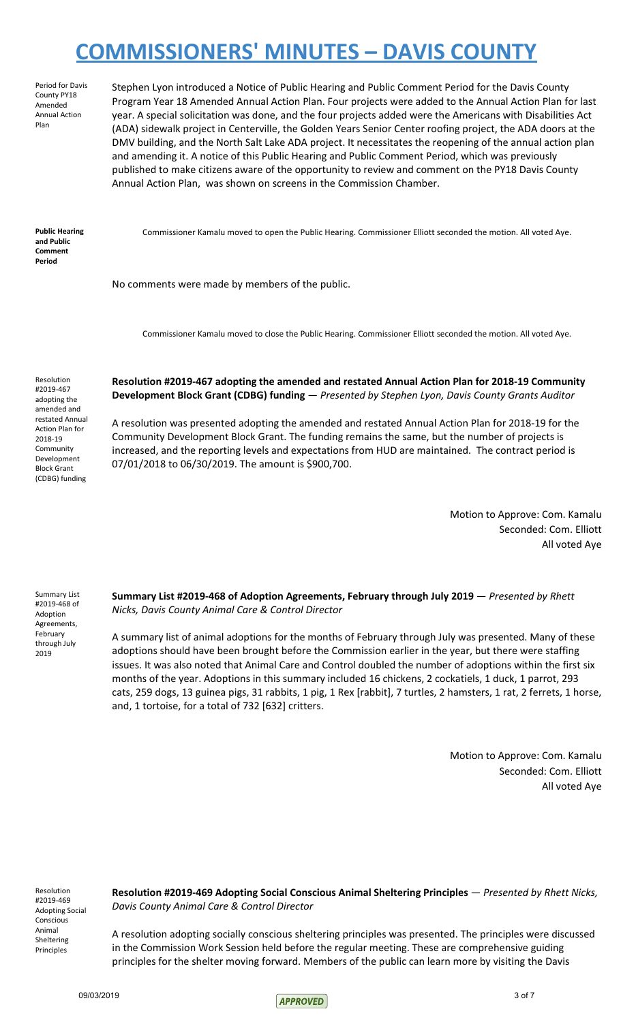Period for Davis County PY18 Amended Annual Action Plan

Stephen Lyon introduced a Notice of Public Hearing and Public Comment Period for the Davis County Program Year 18 Amended Annual Action Plan. Four projects were added to the Annual Action Plan for last year. A special solicitation was done, and the four projects added were the Americans with Disabilities Act (ADA) sidewalk project in Centerville, the Golden Years Senior Center roofing project, the ADA doors at the DMV building, and the North Salt Lake ADA project. It necessitates the reopening of the annual action plan and amending it. A notice of this Public Hearing and Public Comment Period, which was previously published to make citizens aware of the opportunity to review and comment on the PY18 Davis County Annual Action Plan, was shown on screens in the Commission Chamber.

**Public Hearing and Public Comment Period**

Commissioner Kamalu moved to open the Public Hearing. Commissioner Elliott seconded the motion. All voted Aye.

No comments were made by members of the public.

Commissioner Kamalu moved to close the Public Hearing. Commissioner Elliott seconded the motion. All voted Aye.

Resolution #2019-467 adopting the amended and restated Annual Action Plan for 2018-19 **Community** Development Block Grant (CDBG) funding

### **Resolution #2019-467 adopting the amended and restated Annual Action Plan for 2018-19 Community Development Block Grant (CDBG) funding** — *Presented by Stephen Lyon, Davis County Grants Auditor*

A resolution was presented adopting the amended and restated Annual Action Plan for 2018-19 for the Community Development Block Grant. The funding remains the same, but the number of projects is increased, and the reporting levels and expectations from HUD are maintained. The contract period is 07/01/2018 to 06/30/2019. The amount is \$900,700.

> Motion to Approve: Com. Kamalu Seconded: Com. Elliott All voted Aye

Summary List #2019-468 of Adoption Agreements, February through July 2019

**Summary List #2019-468 of Adoption Agreements, February through July 2019** — *Presented by Rhett Nicks, Davis County Animal Care & Control Director*

A summary list of animal adoptions for the months of February through July was presented. Many of these adoptions should have been brought before the Commission earlier in the year, but there were staffing issues. It was also noted that Animal Care and Control doubled the number of adoptions within the first six months of the year. Adoptions in this summary included 16 chickens, 2 cockatiels, 1 duck, 1 parrot, 293 cats, 259 dogs, 13 guinea pigs, 31 rabbits, 1 pig, 1 Rex [rabbit], 7 turtles, 2 hamsters, 1 rat, 2 ferrets, 1 horse, and, 1 tortoise, for a total of 732 [632] critters.

> Motion to Approve: Com. Kamalu Seconded: Com. Elliott All voted Aye

Resolution #2019-469 Adopting Social Conscious Animal Sheltering Principles

**Resolution #2019-469 Adopting Social Conscious Animal Sheltering Principles** — *Presented by Rhett Nicks, Davis County Animal Care & Control Director*

A resolution adopting socially conscious sheltering principles was presented. The principles were discussed in the Commission Work Session held before the regular meeting. These are comprehensive guiding principles for the shelter moving forward. Members of the public can learn more by visiting the Davis

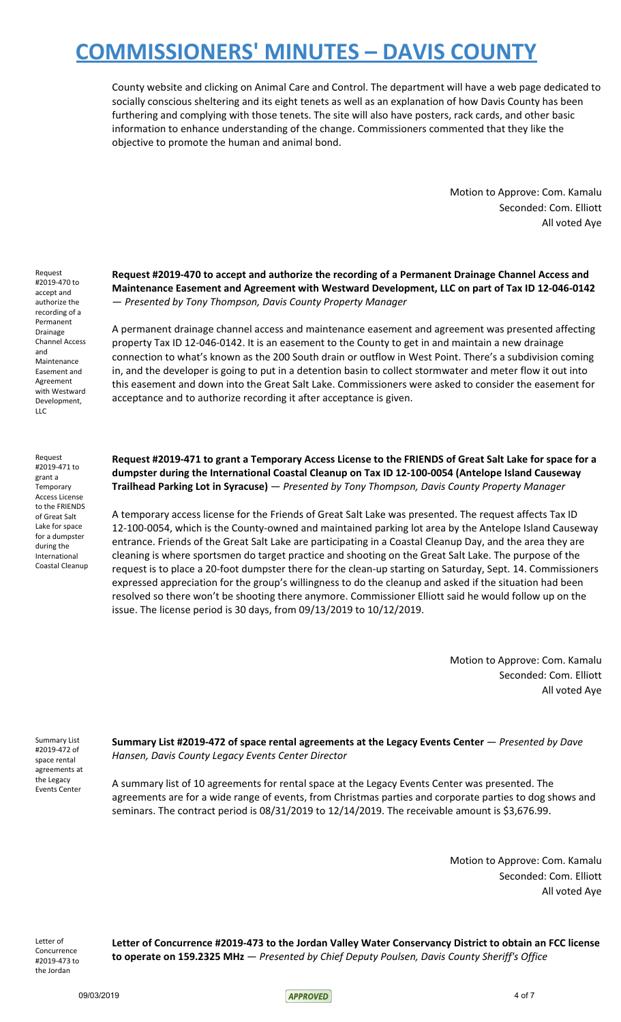County website and clicking on Animal Care and Control. The department will have a web page dedicated to socially conscious sheltering and its eight tenets as well as an explanation of how Davis County has been furthering and complying with those tenets. The site will also have posters, rack cards, and other basic information to enhance understanding of the change. Commissioners commented that they like the objective to promote the human and animal bond.

> Motion to Approve: Com. Kamalu Seconded: Com. Elliott All voted Aye

Request #2019-470 to accept and authorize the recording of a Permanent Drainage Channel Access and Maintenance Easement and Agreement with Westward Development, LLC

Request #2019-471 to grant a Temporary Access License to the FRIENDS of Great Salt Lake for space for a dumpster during the International Coastal Cleanup **Request #2019-470 to accept and authorize the recording of a Permanent Drainage Channel Access and Maintenance Easement and Agreement with Westward Development, LLC on part of Tax ID 12-046-0142** — *Presented by Tony Thompson, Davis County Property Manager*

A permanent drainage channel access and maintenance easement and agreement was presented affecting property Tax ID 12-046-0142. It is an easement to the County to get in and maintain a new drainage connection to what's known as the 200 South drain or outflow in West Point. There's a subdivision coming in, and the developer is going to put in a detention basin to collect stormwater and meter flow it out into this easement and down into the Great Salt Lake. Commissioners were asked to consider the easement for acceptance and to authorize recording it after acceptance is given.

Request #2019-471 to grant a Temporary Access License to the FRIENDS of Great Salt Lake for space for a **dumpster during the International Coastal Cleanup on Tax ID 12-100-0054 (Antelope Island Causeway Trailhead Parking Lot in Syracuse)** — *Presented by Tony Thompson, Davis County Property Manager*

A temporary access license for the Friends of Great Salt Lake was presented. The request affects Tax ID 12-100-0054, which is the County-owned and maintained parking lot area by the Antelope Island Causeway entrance. Friends of the Great Salt Lake are participating in a Coastal Cleanup Day, and the area they are cleaning is where sportsmen do target practice and shooting on the Great Salt Lake. The purpose of the request is to place a 20-foot dumpster there for the clean-up starting on Saturday, Sept. 14. Commissioners expressed appreciation for the group's willingness to do the cleanup and asked if the situation had been resolved so there won't be shooting there anymore. Commissioner Elliott said he would follow up on the issue. The license period is 30 days, from 09/13/2019 to 10/12/2019.

> Motion to Approve: Com. Kamalu Seconded: Com. Elliott All voted Aye

Summary List #2019-472 of space rental agreements at the Legacy Events Center

**Summary List #2019-472 of space rental agreements at the Legacy Events Center** — *Presented by Dave Hansen, Davis County Legacy Events Center Director*

A summary list of 10 agreements for rental space at the Legacy Events Center was presented. The agreements are for a wide range of events, from Christmas parties and corporate parties to dog shows and seminars. The contract period is 08/31/2019 to 12/14/2019. The receivable amount is \$3,676.99.

> Motion to Approve: Com. Kamalu Seconded: Com. Elliott All voted Aye

Letter of Concurrence #2019-473 to the Jordan

**Letter of Concurrence #2019-473 to the Jordan Valley Water Conservancy District to obtain an FCC license to operate on 159.2325 MHz** — *Presented by Chief Deputy Poulsen, Davis County Sheriff's Office*

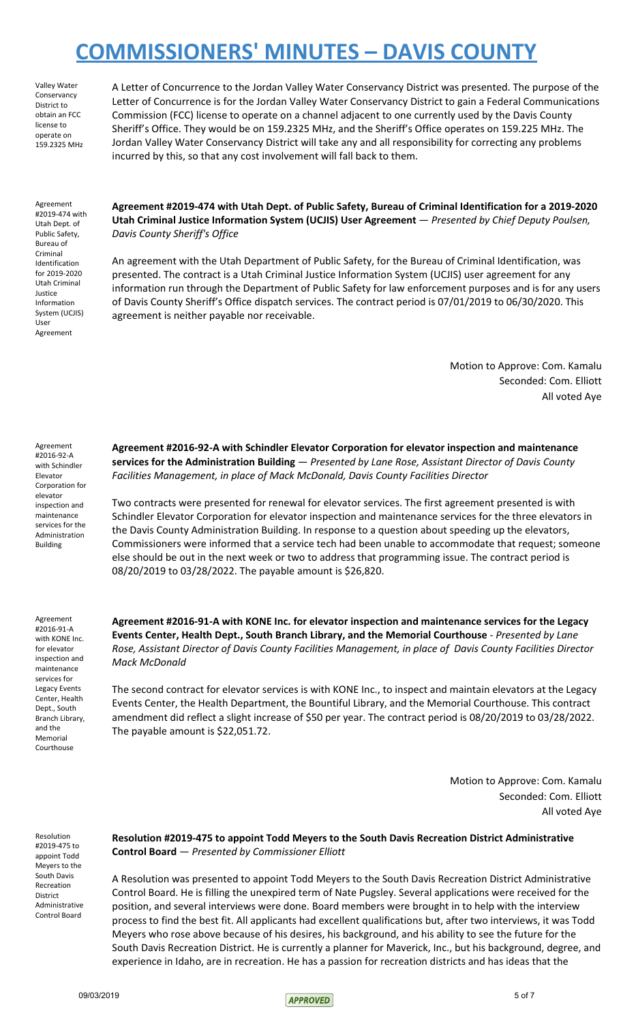Valley Water Conservancy District to obtain an FCC license to operate on 159.2325 MHz

A Letter of Concurrence to the Jordan Valley Water Conservancy District was presented. The purpose of the Letter of Concurrence is for the Jordan Valley Water Conservancy District to gain a Federal Communications Commission (FCC) license to operate on a channel adjacent to one currently used by the Davis County Sheriff's Office. They would be on 159.2325 MHz, and the Sheriff's Office operates on 159.225 MHz. The Jordan Valley Water Conservancy District will take any and all responsibility for correcting any problems incurred by this, so that any cost involvement will fall back to them.

Agreement #2019-474 with Utah Dept. of Public Safety, Bureau of Criminal Identification for 2019-2020 Utah Criminal Justice Information System (UCJIS) User Agreement

**Agreement #2019-474 with Utah Dept. of Public Safety, Bureau of Criminal Identification for a 2019-2020 Utah Criminal Justice Information System (UCJIS) User Agreement** — *Presented by Chief Deputy Poulsen, Davis County Sheriff's Office*

An agreement with the Utah Department of Public Safety, for the Bureau of Criminal Identification, was presented. The contract is a Utah Criminal Justice Information System (UCJIS) user agreement for any information run through the Department of Public Safety for law enforcement purposes and is for any users of Davis County Sheriff's Office dispatch services. The contract period is 07/01/2019 to 06/30/2020. This agreement is neither payable nor receivable.

> Motion to Approve: Com. Kamalu Seconded: Com. Elliott All voted Aye

Agreement #2016-92-A with Schindler Elevator Corporation for elevator inspection and maintenance services for the Administration Building

Agreement #2016-91-A with KONE Inc. for elevator inspection and maintenance services for Legacy Events Center, Health Dept., South Branch Library, and the Memorial Courthouse

**Agreement #2016-92-A with Schindler Elevator Corporation for elevator inspection and maintenance services for the Administration Building** — *Presented by Lane Rose, Assistant Director of Davis County Facilities Management, in place of Mack McDonald, Davis County Facilities Director*

Two contracts were presented for renewal for elevator services. The first agreement presented is with Schindler Elevator Corporation for elevator inspection and maintenance services for the three elevators in the Davis County Administration Building. In response to a question about speeding up the elevators, Commissioners were informed that a service tech had been unable to accommodate that request; someone else should be out in the next week or two to address that programming issue. The contract period is 08/20/2019 to 03/28/2022. The payable amount is \$26,820.

**Agreement #2016-91-A with KONE Inc. for elevator inspection and maintenance services for the Legacy Events Center, Health Dept., South Branch Library, and the Memorial Courthouse** - *Presented by Lane Rose, Assistant Director of Davis County Facilities Management, in place of Davis County Facilities Director Mack McDonald*

The second contract for elevator services is with KONE Inc., to inspect and maintain elevators at the Legacy Events Center, the Health Department, the Bountiful Library, and the Memorial Courthouse. This contract amendment did reflect a slight increase of \$50 per year. The contract period is 08/20/2019 to 03/28/2022. The payable amount is \$22,051.72.

> Motion to Approve: Com. Kamalu Seconded: Com. Elliott All voted Aye

Resolution #2019-475 to appoint Todd Meyers to the South Davis Recreation District Administrative Control Board **Resolution #2019-475 to appoint Todd Meyers to the South Davis Recreation District Administrative Control Board** — *Presented by Commissioner Elliott*

A Resolution was presented to appoint Todd Meyers to the South Davis Recreation District Administrative Control Board. He is filling the unexpired term of Nate Pugsley. Several applications were received for the position, and several interviews were done. Board members were brought in to help with the interview process to find the best fit. All applicants had excellent qualifications but, after two interviews, it was Todd Meyers who rose above because of his desires, his background, and his ability to see the future for the South Davis Recreation District. He is currently a planner for Maverick, Inc., but his background, degree, and experience in Idaho, are in recreation. He has a passion for recreation districts and has ideas that the

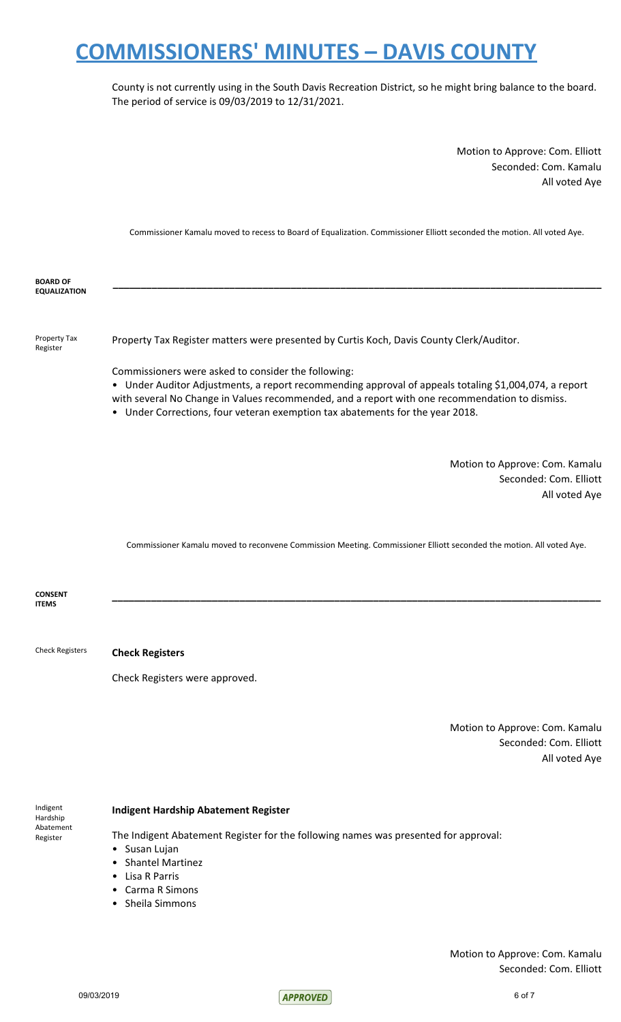County is not currently using in the South Davis Recreation District, so he might bring balance to the board. The period of service is 09/03/2019 to 12/31/2021.

> Motion to Approve: Com. Elliott Seconded: Com. Kamalu All voted Aye

Commissioner Kamalu moved to recess to Board of Equalization. Commissioner Elliott seconded the motion. All voted Aye.

**BOARD OF EQUALIZATION \_\_\_\_\_\_\_\_\_\_\_\_\_\_\_\_\_\_\_\_\_\_\_\_\_\_\_\_\_\_\_\_\_\_\_\_\_\_\_\_\_\_\_\_\_\_\_\_\_\_\_\_\_\_\_\_\_\_\_\_\_\_\_\_\_\_\_\_\_\_\_\_\_\_\_\_\_\_\_\_\_\_\_\_\_\_\_\_** Property Tax Register Property Tax Register matters were presented by Curtis Koch, Davis County Clerk/Auditor. Commissioners were asked to consider the following: • Under Auditor Adjustments, a report recommending approval of appeals totaling \$1,004,074, a report with several No Change in Values recommended, and a report with one recommendation to dismiss. • Under Corrections, four veteran exemption tax abatements for the year 2018. Motion to Approve: Com. Kamalu Seconded: Com. Elliott All voted Aye Commissioner Kamalu moved to reconvene Commission Meeting. Commissioner Elliott seconded the motion. All voted Aye. **CONSENT ITEMS \_\_\_\_\_\_\_\_\_\_\_\_\_\_\_\_\_\_\_\_\_\_\_\_\_\_\_\_\_\_\_\_\_\_\_\_\_\_\_\_\_\_\_\_\_\_\_\_\_\_\_\_\_\_\_\_\_\_\_\_\_\_\_\_\_\_\_\_\_\_\_\_\_\_\_\_\_\_\_\_\_\_\_\_\_\_\_\_** Check Registers **Check Registers** Check Registers were approved. Motion to Approve: Com. Kamalu Seconded: Com. Elliott All voted Aye

Indigent Hardship Abatement Register

### **Indigent Hardship Abatement Register**

The Indigent Abatement Register for the following names was presented for approval:

- Susan Lujan
- Shantel Martinez
- Lisa R Parris
- Carma R Simons
- Sheila Simmons